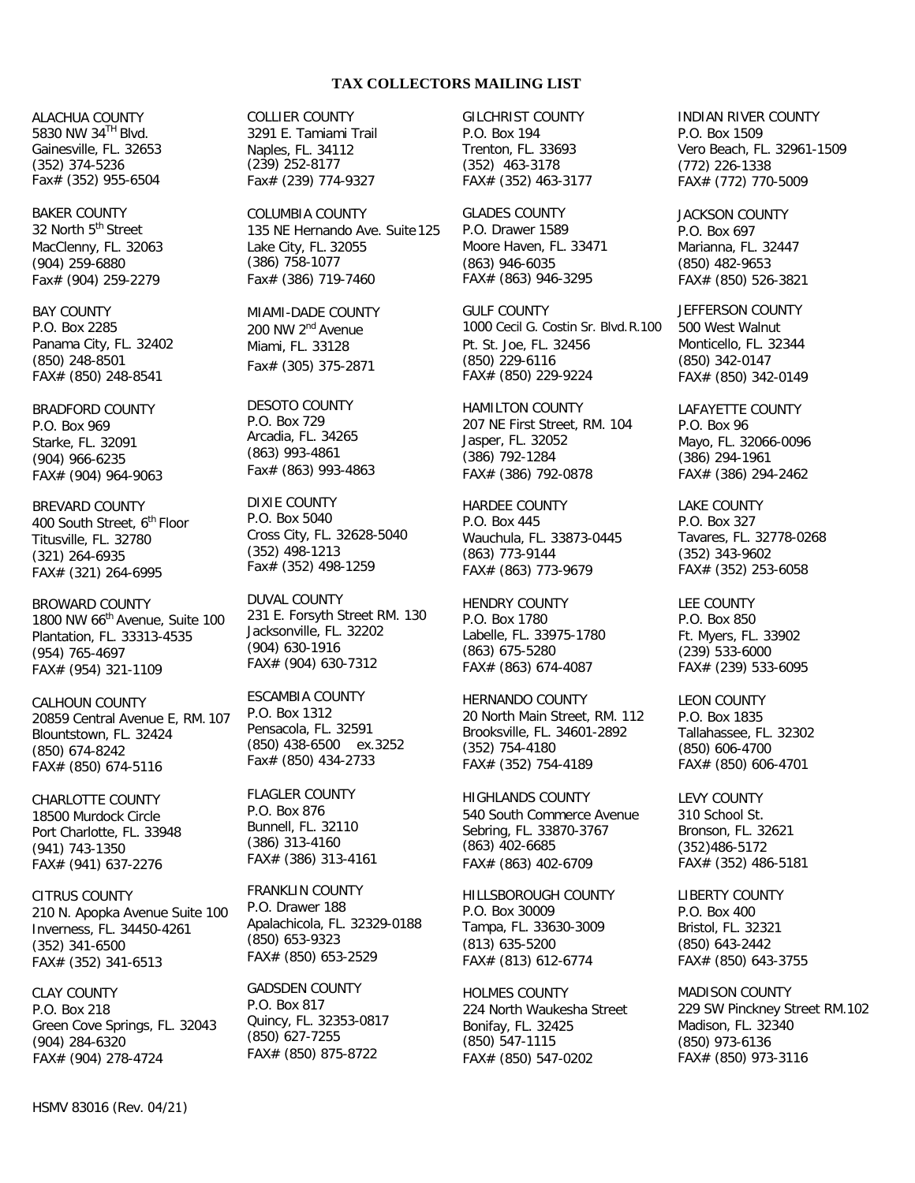## **TAX COLLECTORS MAILING LIST**

ALACHUA COUNTY 5830 NW 34TH Blvd. Gainesville, FL. 32653 (352) 374-5236 Fax# (352) 955-6504

BAKER COUNTY 32 North 5<sup>th</sup> Street MacClenny, FL. 32063 (904) 259-6880 Fax# (904) 259-2279

BAY COUNTY P.O. Box 2285 Panama City, FL. 32402 (850) 248-8501 FAX# (850) 248-8541

BRADFORD COUNTY P.O. Box 969 Starke, FL. 32091 (904) 966-6235 FAX# (904) 964-9063

BREVARD COUNTY 400 South Street, 6<sup>th</sup> Floor Titusville, FL. 32780 (321) 264-6935 FAX# (321) 264-6995

BROWARD COUNTY 1800 NW 66<sup>th</sup> Avenue, Suite 100 Plantation, FL. 33313-4535 (954) 765-4697 FAX# (954) 321-1109

CALHOUN COUNTY 20859 Central Avenue E, RM. 107 Blountstown, FL. 32424 (850) 674-8242 FAX# (850) 674-5116

CHARLOTTE COUNTY 18500 Murdock Circle Port Charlotte, FL. 33948 (941) 743-1350 FAX# (941) 637-2276

CITRUS COUNTY 210 N. Apopka Avenue Suite 100 Inverness, FL. 34450-4261 (352) 341-6500 FAX# (352) 341-6513

CLAY COUNTY P.O. Box 218 Green Cove Springs, FL. 32043 (904) 284-6320 FAX# (904) 278-4724

COLLIER COUNTY 3291 E. Tamiami Trail Naples, FL. 34112 (239) 252-8177 Fax# (239) 774-9327

COLUMBIA COUNTY 135 NE Hernando Ave. Suite 125 Lake City, FL. 32055 (386) 758-1077 Fax# (386) 719-7460

MIAMI-DADE COUNTY 200 NW 2<sup>nd</sup> Avenue Miami, FL. 33128 Fax# (305) 375-2871

DESOTO COUNTY P.O. Box 729 Arcadia, FL. 34265 (863) 993-4861 Fax# (863) 993-4863

DIXIE COUNTY P.O. Box 5040 Cross City, FL. 32628-5040 (352) 498-1213 Fax# (352) 498-1259

DUVAL COUNTY 231 E. Forsyth Street RM. 130 Jacksonville, FL. 32202 (904) 630-1916 FAX# (904) 630-7312

ESCAMBIA COUNTY P.O. Box 1312 Pensacola, FL. 32591 (850) 438-6500 ex.3252 Fax# (850) 434-2733

FLAGLER COUNTY P.O. Box 876 Bunnell, FL. 32110 (386) 313-4160 FAX# (386) 313-4161

FRANKLIN COUNTY P.O. Drawer 188 Apalachicola, FL. 32329-0188 (850) 653-9323 FAX# (850) 653-2529

GADSDEN COUNTY P.O. Box 817 Quincy, FL. 32353-0817 (850) 627-7255 FAX# (850) 875-8722

GILCHRIST COUNTY P.O. Box 194 Trenton, FL. 33693 (352) 463-3178 FAX# (352) 463-3177

GLADES COUNTY P.O. Drawer 1589 Moore Haven, FL. 33471 (863) 946-6035 FAX# (863) 946-3295

GULF COUNTY 1000 Cecil G. Costin Sr. Blvd.R.100 Pt. St. Joe, FL. 32456 (850) 229-6116 FAX# (850) 229-9224

HAMILTON COUNTY 207 NE First Street, RM. 104 Jasper, FL. 32052 (386) 792-1284 FAX# (386) 792-0878

HARDEE COUNTY P.O. Box 445 Wauchula, FL. 33873-0445 (863) 773-9144 FAX# (863) 773-9679

HENDRY COUNTY P.O. Box 1780 Labelle, FL. 33975-1780 (863) 675-5280 FAX# (863) 674-4087

HERNANDO COUNTY 20 North Main Street, RM. 112 Brooksville, FL. 34601-2892 (352) 754-4180 FAX# (352) 754-4189

HIGHLANDS COUNTY 540 South Commerce Avenue Sebring, FL. 33870-3767 (863) 402-6685 FAX# (863) 402-6709

HILLSBOROUGH COUNTY P.O. Box 30009 Tampa, FL. 33630-3009 (813) 635-5200 FAX# (813) 612-6774

HOLMES COUNTY 224 North Waukesha Street Bonifay, FL. 32425 (850) 547-1115 FAX# (850) 547-0202

INDIAN RIVER COUNTY P.O. Box 1509 Vero Beach, FL. 32961-1509 (772) 226-1338 FAX# (772) 770-5009

JACKSON COUNTY P.O. Box 697 Marianna, FL. 32447 (850) 482-9653 FAX# (850) 526-3821

JEFFERSON COUNTY 500 West Walnut Monticello, FL. 32344 (850) 342-0147 FAX# (850) 342-0149

LAFAYETTE COUNTY P.O. Box 96 Mayo, FL. 32066-0096 (386) 294-1961 FAX# (386) 294-2462

LAKE COUNTY P.O. Box 327 Tavares, FL. 32778-0268 (352) 343-9602 FAX# (352) 253-6058

LEE COUNTY P.O. Box 850 Ft. Myers, FL. 33902 (239) 533-6000 FAX# (239) 533-6095

LEON COUNTY P.O. Box 1835 Tallahassee, FL. 32302 (850) 606-4700 FAX# (850) 606-4701

LEVY COUNTY 310 School St. Bronson, FL. 32621 (352)486-5172 FAX# (352) 486-5181

LIBERTY COUNTY P.O. Box 400 Bristol, FL. 32321 (850) 643-2442 FAX# (850) 643-3755

MADISON COUNTY 229 SW Pinckney Street RM.102 Madison, FL. 32340 (850) 973-6136 FAX# (850) 973-3116